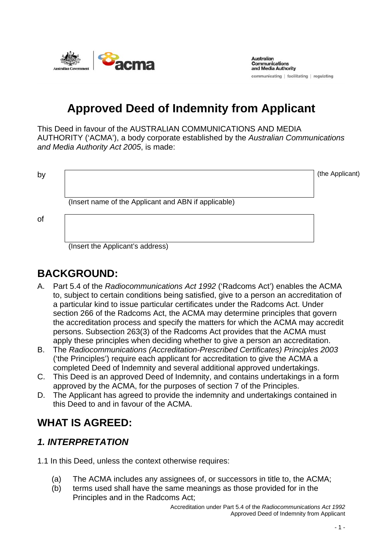

**Australian Communications** and Media Authority communicating | facilitating | regulating

# **Approved Deed of Indemnity from Applicant**

This Deed in favour of the AUSTRALIAN COMMUNICATIONS AND MEDIA AUTHORITY ('ACMA'), a body corporate established by the *Australian Communications and Media Authority Act 2005*, is made:

by  $\boxed{\phantom{a}}$  (the Applicant)

(Insert name of the Applicant and ABN if applicable)

of

(Insert the Applicant's address)

## **BACKGROUND:**

- A. Part 5.4 of the *Radiocommunications Act 1992* ('Radcoms Act') enables the ACMA to, subject to certain conditions being satisfied, give to a person an accreditation of a particular kind to issue particular certificates under the Radcoms Act. Under section 266 of the Radcoms Act, the ACMA may determine principles that govern the accreditation process and specify the matters for which the ACMA may accredit persons. Subsection 263(3) of the Radcoms Act provides that the ACMA must apply these principles when deciding whether to give a person an accreditation.
- B. The *Radiocommunications (Accreditation-Prescribed Certificates) Principles 2003*  ('the Principles') require each applicant for accreditation to give the ACMA a completed Deed of Indemnity and several additional approved undertakings.
- C. This Deed is an approved Deed of Indemnity, and contains undertakings in a form approved by the ACMA, for the purposes of section 7 of the Principles.
- D. The Applicant has agreed to provide the indemnity and undertakings contained in this Deed to and in favour of the ACMA.

### **WHAT IS AGREED:**

#### *1. INTERPRETATION*

1.1 In this Deed, unless the context otherwise requires:

- (a) The ACMA includes any assignees of, or successors in title to, the ACMA;
- (b) terms used shall have the same meanings as those provided for in the Principles and in the Radcoms Act;

Accreditation under Part 5.4 of the *Radiocommunications Act 1992*  Approved Deed of Indemnity from Applicant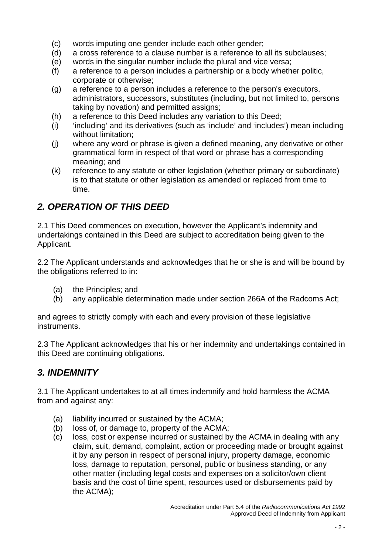- (c) words imputing one gender include each other gender;
- (d) a cross reference to a clause number is a reference to all its subclauses;
- (e) words in the singular number include the plural and vice versa;
- (f) a reference to a person includes a partnership or a body whether politic, corporate or otherwise;
- (g) a reference to a person includes a reference to the person's executors, administrators, successors, substitutes (including, but not limited to, persons taking by novation) and permitted assigns;
- (h) a reference to this Deed includes any variation to this Deed;
- (i) 'including' and its derivatives (such as 'include' and 'includes') mean including without limitation;
- (j) where any word or phrase is given a defined meaning, any derivative or other grammatical form in respect of that word or phrase has a corresponding meaning; and
- (k) reference to any statute or other legislation (whether primary or subordinate) is to that statute or other legislation as amended or replaced from time to time.

### *2. OPERATION OF THIS DEED*

2.1 This Deed commences on execution, however the Applicant's indemnity and undertakings contained in this Deed are subject to accreditation being given to the Applicant.

2.2 The Applicant understands and acknowledges that he or she is and will be bound by the obligations referred to in:

- (a) the Principles; and
- (b) any applicable determination made under section 266A of the Radcoms Act;

and agrees to strictly comply with each and every provision of these legislative instruments.

2.3 The Applicant acknowledges that his or her indemnity and undertakings contained in this Deed are continuing obligations.

#### *3. INDEMNITY*

3.1 The Applicant undertakes to at all times indemnify and hold harmless the ACMA from and against any:

- (a) liability incurred or sustained by the ACMA;
- (b) loss of, or damage to, property of the ACMA;
- (c) loss, cost or expense incurred or sustained by the ACMA in dealing with any claim, suit, demand, complaint, action or proceeding made or brought against it by any person in respect of personal injury, property damage, economic loss, damage to reputation, personal, public or business standing, or any other matter (including legal costs and expenses on a solicitor/own client basis and the cost of time spent, resources used or disbursements paid by the ACMA);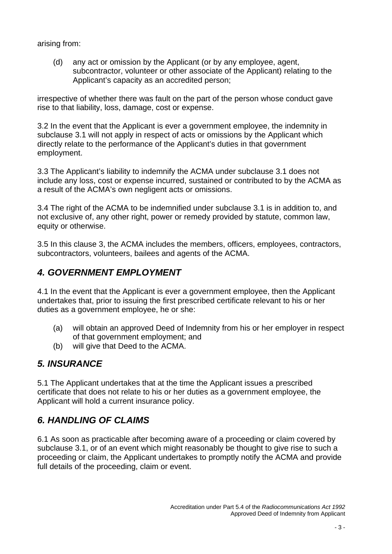arising from:

(d) any act or omission by the Applicant (or by any employee, agent, subcontractor, volunteer or other associate of the Applicant) relating to the Applicant's capacity as an accredited person;

irrespective of whether there was fault on the part of the person whose conduct gave rise to that liability, loss, damage, cost or expense.

3.2 In the event that the Applicant is ever a government employee, the indemnity in subclause 3.1 will not apply in respect of acts or omissions by the Applicant which directly relate to the performance of the Applicant's duties in that government employment.

3.3 The Applicant's liability to indemnify the ACMA under subclause 3.1 does not include any loss, cost or expense incurred, sustained or contributed to by the ACMA as a result of the ACMA's own negligent acts or omissions.

3.4 The right of the ACMA to be indemnified under subclause 3.1 is in addition to, and not exclusive of, any other right, power or remedy provided by statute, common law, equity or otherwise.

3.5 In this clause 3, the ACMA includes the members, officers, employees, contractors, subcontractors, volunteers, bailees and agents of the ACMA.

#### *4. GOVERNMENT EMPLOYMENT*

4.1 In the event that the Applicant is ever a government employee, then the Applicant undertakes that, prior to issuing the first prescribed certificate relevant to his or her duties as a government employee, he or she:

- (a) will obtain an approved Deed of Indemnity from his or her employer in respect of that government employment; and
- (b) will give that Deed to the ACMA.

#### *5. INSURANCE*

5.1 The Applicant undertakes that at the time the Applicant issues a prescribed certificate that does not relate to his or her duties as a government employee, the Applicant will hold a current insurance policy.

### *6. HANDLING OF CLAIMS*

6.1 As soon as practicable after becoming aware of a proceeding or claim covered by subclause 3.1, or of an event which might reasonably be thought to give rise to such a proceeding or claim, the Applicant undertakes to promptly notify the ACMA and provide full details of the proceeding, claim or event.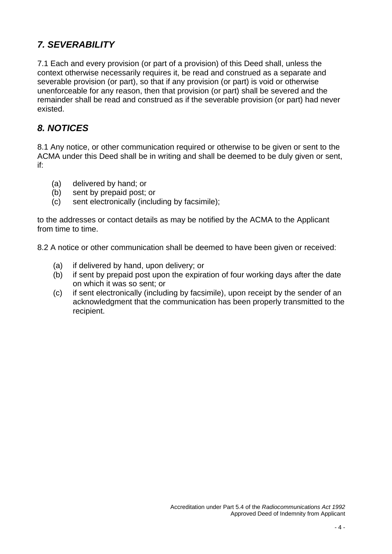#### *7. SEVERABILITY*

7.1 Each and every provision (or part of a provision) of this Deed shall, unless the context otherwise necessarily requires it, be read and construed as a separate and severable provision (or part), so that if any provision (or part) is void or otherwise unenforceable for any reason, then that provision (or part) shall be severed and the remainder shall be read and construed as if the severable provision (or part) had never existed.

#### *8. NOTICES*

8.1 Any notice, or other communication required or otherwise to be given or sent to the ACMA under this Deed shall be in writing and shall be deemed to be duly given or sent, if:

- (a) delivered by hand; or
- (b) sent by prepaid post; or
- (c) sent electronically (including by facsimile);

to the addresses or contact details as may be notified by the ACMA to the Applicant from time to time.

8.2 A notice or other communication shall be deemed to have been given or received:

- (a) if delivered by hand, upon delivery; or
- (b) if sent by prepaid post upon the expiration of four working days after the date on which it was so sent; or
- (c) if sent electronically (including by facsimile), upon receipt by the sender of an acknowledgment that the communication has been properly transmitted to the recipient.